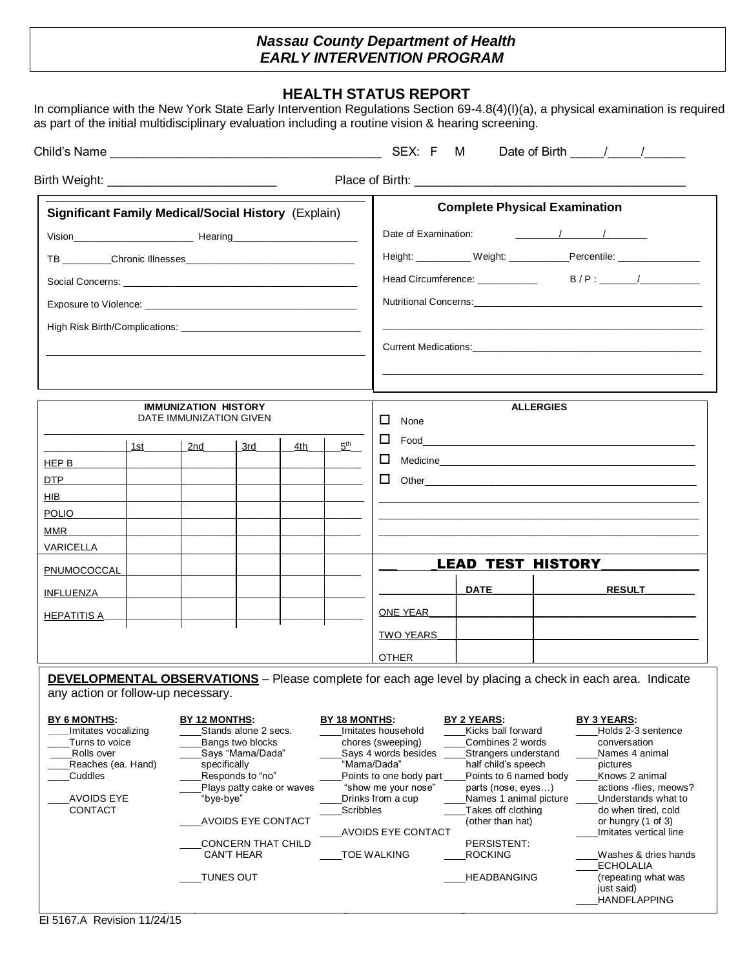## *Nassau County Department of Health EARLY INTERVENTION PROGRAM*

## **HEALTH STATUS REPORT**

In compliance with the New York State Early Intervention Regulations Section 69-4.8(4)(I)(a), a physical examination is required as part of the initial multidisciplinary evaluation including a routine vision & hearing screening.

|                                                                                                                                                                                   |                                                                                                                                                   |                                                                                                                                                                                                                                                                                                       |                                                                    |     |                                          |                                                                                                                                                       |                                                                                                                                                                                                                          |                  | Date of Birth 11 / 1                                                                                                                                                                                       |  |
|-----------------------------------------------------------------------------------------------------------------------------------------------------------------------------------|---------------------------------------------------------------------------------------------------------------------------------------------------|-------------------------------------------------------------------------------------------------------------------------------------------------------------------------------------------------------------------------------------------------------------------------------------------------------|--------------------------------------------------------------------|-----|------------------------------------------|-------------------------------------------------------------------------------------------------------------------------------------------------------|--------------------------------------------------------------------------------------------------------------------------------------------------------------------------------------------------------------------------|------------------|------------------------------------------------------------------------------------------------------------------------------------------------------------------------------------------------------------|--|
|                                                                                                                                                                                   |                                                                                                                                                   |                                                                                                                                                                                                                                                                                                       |                                                                    |     |                                          |                                                                                                                                                       |                                                                                                                                                                                                                          |                  |                                                                                                                                                                                                            |  |
| <b>Significant Family Medical/Social History (Explain)</b>                                                                                                                        |                                                                                                                                                   |                                                                                                                                                                                                                                                                                                       |                                                                    |     |                                          |                                                                                                                                                       | <b>Complete Physical Examination</b>                                                                                                                                                                                     |                  |                                                                                                                                                                                                            |  |
|                                                                                                                                                                                   |                                                                                                                                                   |                                                                                                                                                                                                                                                                                                       |                                                                    |     |                                          |                                                                                                                                                       | Date of Examination: 1 1                                                                                                                                                                                                 |                  |                                                                                                                                                                                                            |  |
|                                                                                                                                                                                   |                                                                                                                                                   |                                                                                                                                                                                                                                                                                                       |                                                                    |     |                                          |                                                                                                                                                       |                                                                                                                                                                                                                          |                  | Height: ___________ Weight: ____________Percentile: __________________                                                                                                                                     |  |
|                                                                                                                                                                                   |                                                                                                                                                   |                                                                                                                                                                                                                                                                                                       |                                                                    |     |                                          |                                                                                                                                                       |                                                                                                                                                                                                                          |                  |                                                                                                                                                                                                            |  |
|                                                                                                                                                                                   |                                                                                                                                                   |                                                                                                                                                                                                                                                                                                       |                                                                    |     |                                          |                                                                                                                                                       |                                                                                                                                                                                                                          |                  |                                                                                                                                                                                                            |  |
|                                                                                                                                                                                   |                                                                                                                                                   |                                                                                                                                                                                                                                                                                                       |                                                                    |     |                                          |                                                                                                                                                       |                                                                                                                                                                                                                          |                  |                                                                                                                                                                                                            |  |
|                                                                                                                                                                                   |                                                                                                                                                   |                                                                                                                                                                                                                                                                                                       |                                                                    |     |                                          |                                                                                                                                                       |                                                                                                                                                                                                                          |                  |                                                                                                                                                                                                            |  |
|                                                                                                                                                                                   |                                                                                                                                                   |                                                                                                                                                                                                                                                                                                       |                                                                    |     |                                          |                                                                                                                                                       |                                                                                                                                                                                                                          |                  |                                                                                                                                                                                                            |  |
|                                                                                                                                                                                   |                                                                                                                                                   |                                                                                                                                                                                                                                                                                                       |                                                                    |     |                                          |                                                                                                                                                       |                                                                                                                                                                                                                          |                  |                                                                                                                                                                                                            |  |
|                                                                                                                                                                                   |                                                                                                                                                   | <b>IMMUNIZATION HISTORY</b>                                                                                                                                                                                                                                                                           |                                                                    |     |                                          |                                                                                                                                                       |                                                                                                                                                                                                                          | <b>ALLERGIES</b> |                                                                                                                                                                                                            |  |
|                                                                                                                                                                                   |                                                                                                                                                   | DATE IMMUNIZATION GIVEN                                                                                                                                                                                                                                                                               |                                                                    |     |                                          | □<br>None                                                                                                                                             |                                                                                                                                                                                                                          |                  |                                                                                                                                                                                                            |  |
|                                                                                                                                                                                   | 1st and                                                                                                                                           | 2nd                                                                                                                                                                                                                                                                                                   | 3rd                                                                | 4th | $5^{\text{th}}$                          |                                                                                                                                                       |                                                                                                                                                                                                                          |                  |                                                                                                                                                                                                            |  |
| HEP $B_{-}$                                                                                                                                                                       |                                                                                                                                                   |                                                                                                                                                                                                                                                                                                       |                                                                    |     |                                          |                                                                                                                                                       |                                                                                                                                                                                                                          |                  |                                                                                                                                                                                                            |  |
| DTP                                                                                                                                                                               |                                                                                                                                                   |                                                                                                                                                                                                                                                                                                       |                                                                    |     |                                          | $\Box$                                                                                                                                                |                                                                                                                                                                                                                          |                  |                                                                                                                                                                                                            |  |
| HIB.                                                                                                                                                                              |                                                                                                                                                   |                                                                                                                                                                                                                                                                                                       |                                                                    |     |                                          |                                                                                                                                                       |                                                                                                                                                                                                                          |                  |                                                                                                                                                                                                            |  |
| <b>POLIO</b>                                                                                                                                                                      |                                                                                                                                                   |                                                                                                                                                                                                                                                                                                       |                                                                    |     |                                          |                                                                                                                                                       |                                                                                                                                                                                                                          |                  |                                                                                                                                                                                                            |  |
| <b>MMR</b>                                                                                                                                                                        |                                                                                                                                                   |                                                                                                                                                                                                                                                                                                       |                                                                    |     |                                          |                                                                                                                                                       |                                                                                                                                                                                                                          |                  |                                                                                                                                                                                                            |  |
| VARICELLA                                                                                                                                                                         |                                                                                                                                                   |                                                                                                                                                                                                                                                                                                       |                                                                    |     |                                          |                                                                                                                                                       |                                                                                                                                                                                                                          |                  |                                                                                                                                                                                                            |  |
| PNUMOCOCCAL                                                                                                                                                                       |                                                                                                                                                   |                                                                                                                                                                                                                                                                                                       |                                                                    |     |                                          |                                                                                                                                                       | <b>LEAD TEST HISTORY</b>                                                                                                                                                                                                 |                  |                                                                                                                                                                                                            |  |
| <u>INFLUENZA</u>                                                                                                                                                                  |                                                                                                                                                   |                                                                                                                                                                                                                                                                                                       |                                                                    |     |                                          |                                                                                                                                                       | <b>DATE</b>                                                                                                                                                                                                              |                  | <b>RESULT</b>                                                                                                                                                                                              |  |
| <u>HEPATITIS A</u>                                                                                                                                                                |                                                                                                                                                   |                                                                                                                                                                                                                                                                                                       |                                                                    |     |                                          | <b>ONE YEAR</b>                                                                                                                                       |                                                                                                                                                                                                                          |                  |                                                                                                                                                                                                            |  |
|                                                                                                                                                                                   |                                                                                                                                                   |                                                                                                                                                                                                                                                                                                       |                                                                    |     |                                          | TWO YEARS                                                                                                                                             |                                                                                                                                                                                                                          |                  |                                                                                                                                                                                                            |  |
|                                                                                                                                                                                   |                                                                                                                                                   |                                                                                                                                                                                                                                                                                                       |                                                                    |     |                                          | <b>OTHER</b>                                                                                                                                          |                                                                                                                                                                                                                          |                  |                                                                                                                                                                                                            |  |
| any action or follow-up necessary.<br>BY 6 MONTHS:<br>Imitates vocalizing<br>Turns to voice<br>Rolls over<br>Reaches (ea. Hand)<br>Cuddles<br><b>AVOIDS EYE</b><br><b>CONTACT</b> |                                                                                                                                                   | <b>DEVELOPMENTAL OBSERVATIONS</b> - Please complete for each age level by placing a check in each area. Indicate<br>BY 12 MONTHS:<br>Stands alone 2 secs.<br>Bangs two blocks<br>Says "Mama/Dada"<br>specifically<br>Responds to "no"<br>Plays patty cake or waves<br>"bye-bye"<br>AVOIDS EYE CONTACT |                                                                    |     | BY 18 MONTHS:<br><b>Scribbles</b>        | Imitates household<br>chores (sweeping)<br>Says 4 words besides<br>"Mama/Dada"<br>Points to one body part<br>"show me your nose"<br>Drinks from a cup | BY 2 YEARS:<br>Kicks ball forward<br>Combines 2 words<br>Strangers understand<br>half child's speech<br>Points to 6 named body<br>parts (nose, eyes)<br>Names 1 animal picture<br>Takes off clothing<br>(other than hat) |                  | BY 3 YEARS:<br>Holds 2-3 sentence<br>conversation<br>Names 4 animal<br>pictures<br>Knows 2 animal<br>actions -flies, meows?<br>Understands what to<br>do when tired, cold<br>or hungry $(1 \text{ of } 3)$ |  |
|                                                                                                                                                                                   |                                                                                                                                                   |                                                                                                                                                                                                                                                                                                       | <b>CONCERN THAT CHILD</b><br><b>CAN'T HEAR</b><br><b>TUNES OUT</b> |     | <b>AVOIDS EYE CONTACT</b><br>TOE WALKING |                                                                                                                                                       | PERSISTENT:<br><b>ROCKING</b><br>HEADBANGING                                                                                                                                                                             |                  | Imitates vertical line<br>Washes & dries hands<br>ECHOLALIA                                                                                                                                                |  |
|                                                                                                                                                                                   | $D_n$ $\frac{1}{2}$ $\frac{1}{2}$ $\frac{1}{2}$ $\frac{1}{2}$ $\frac{1}{2}$ $\frac{1}{2}$ $\frac{1}{2}$ $\frac{1}{2}$ $\frac{1}{2}$ $\frac{1}{2}$ |                                                                                                                                                                                                                                                                                                       |                                                                    |     |                                          |                                                                                                                                                       |                                                                                                                                                                                                                          |                  | (repeating what was<br>just said)<br><b>HANDFLAPPING</b>                                                                                                                                                   |  |